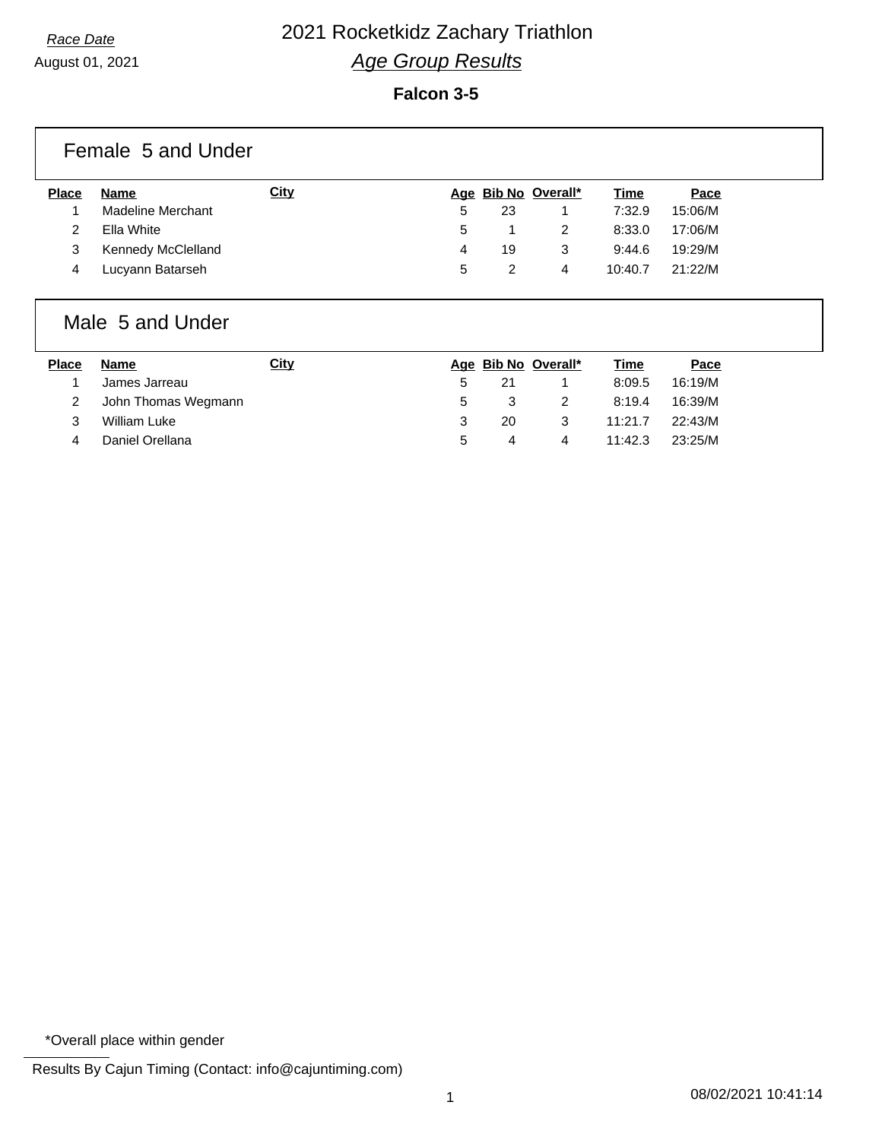August 01, 2021

## **Falcon 3-5**

| Female 5 and Under |                    |             |   |    |                     |             |         |  |
|--------------------|--------------------|-------------|---|----|---------------------|-------------|---------|--|
| <b>Place</b>       | Name               | <b>City</b> |   |    | Age Bib No Overall* | <b>Time</b> | Pace    |  |
|                    | Madeline Merchant  |             | 5 | 23 |                     | 7:32.9      | 15:06/M |  |
| 2                  | Ella White         |             | 5 |    | 2                   | 8:33.0      | 17:06/M |  |
| 3                  | Kennedy McClelland |             | 4 | 19 | 3                   | 9:44.6      | 19:29/M |  |
| 4                  | Lucyann Batarseh   |             | 5 | 2  | 4                   | 10:40.7     | 21:22/M |  |

## Male 5 and Under

| <b>Place</b> | <b>Name</b>         | <u>City</u> |   |    | Age Bib No Overall* | Time    | Pace    |
|--------------|---------------------|-------------|---|----|---------------------|---------|---------|
|              | James Jarreau       |             |   | 21 |                     | 8:09.5  | 16:19/M |
|              | John Thomas Wegmann |             |   |    |                     | 8:19.4  | 16:39/M |
| 3            | William Luke        |             |   | 20 |                     | 11:21.7 | 22:43/M |
|              | Daniel Orellana     |             | 5 |    | 4                   | 11:42.3 | 23:25/M |

\*Overall place within gender

Results By Cajun Timing (Contact: info@cajuntiming.com)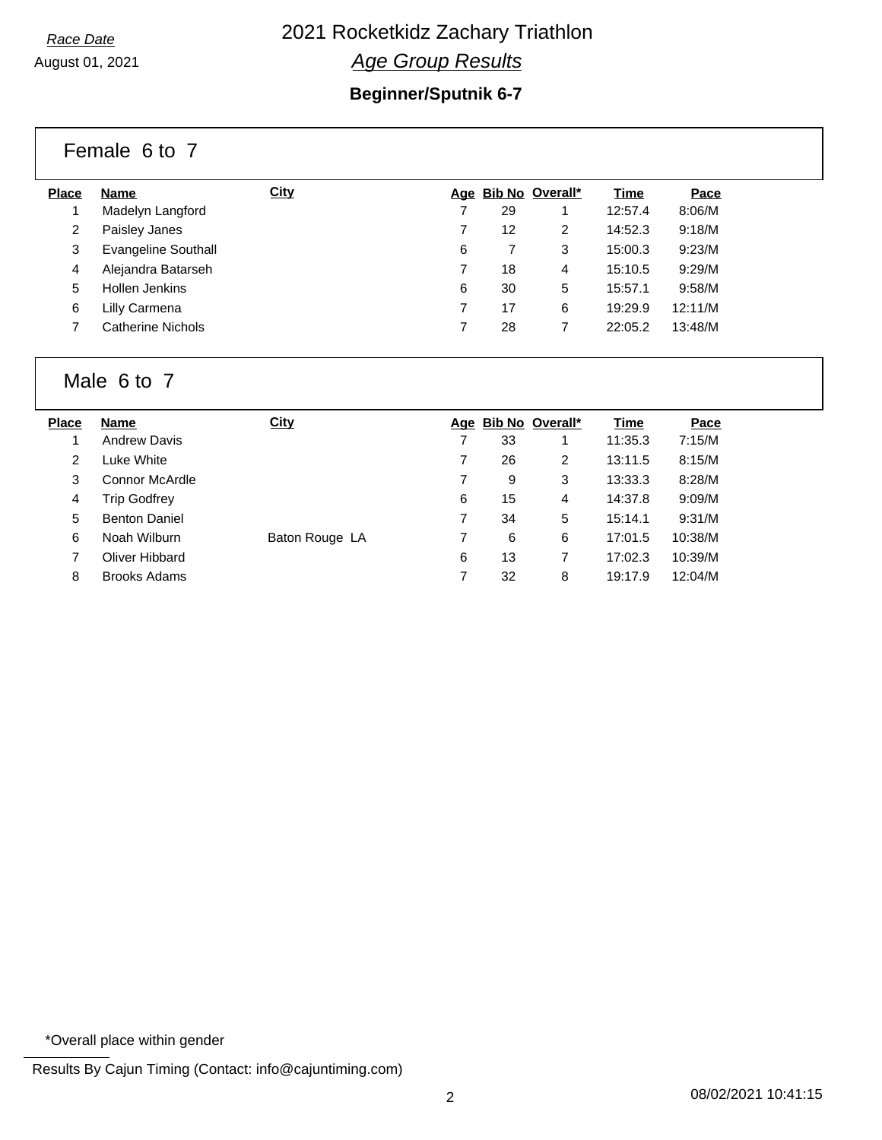August 01, 2021

## **Beginner/Sputnik 6-7**

|              | Female 6 to 7              |             |   |    |                     |         |         |
|--------------|----------------------------|-------------|---|----|---------------------|---------|---------|
| <b>Place</b> | <b>Name</b>                | <b>City</b> |   |    | Age Bib No Overall* | Time    | Pace    |
|              | Madelyn Langford           |             |   | 29 |                     | 12:57.4 | 8:06/M  |
| 2            | Paisley Janes              |             | 7 | 12 | 2                   | 14:52.3 | 9:18/M  |
| 3            | <b>Evangeline Southall</b> |             | 6 |    | 3                   | 15:00.3 | 9:23/M  |
| 4            | Alejandra Batarseh         |             | 7 | 18 | 4                   | 15:10.5 | 9:29/M  |
| 5            | Hollen Jenkins             |             | 6 | 30 | 5                   | 15:57.1 | 9:58/M  |
| 6            | Lilly Carmena              |             | 7 | 17 | 6                   | 19:29.9 | 12:11/M |
|              | Catherine Nichols          |             | 7 | 28 | 7                   | 22:05.2 | 13:48/M |

### Male 6 to 7

| <b>Place</b> | <b>Name</b>          | City           |   |    | Age Bib No Overall* | Time    | Pace    |
|--------------|----------------------|----------------|---|----|---------------------|---------|---------|
|              | <b>Andrew Davis</b>  |                |   | 33 |                     | 11:35.3 | 7:15/M  |
| 2            | Luke White           |                |   | 26 | 2                   | 13:11.5 | 8:15/M  |
| 3            | Connor McArdle       |                |   | 9  | 3                   | 13:33.3 | 8:28/M  |
| 4            | <b>Trip Godfrey</b>  |                | 6 | 15 | 4                   | 14:37.8 | 9:09/M  |
| 5            | <b>Benton Daniel</b> |                |   | 34 | 5                   | 15:14.1 | 9:31/M  |
| 6            | Noah Wilburn         | Baton Rouge LA |   | 6  | 6                   | 17:01.5 | 10:38/M |
|              | Oliver Hibbard       |                | 6 | 13 |                     | 17:02.3 | 10:39/M |
| 8            | <b>Brooks Adams</b>  |                | 7 | 32 | 8                   | 19:17.9 | 12:04/M |

\*Overall place within gender

Results By Cajun Timing (Contact: info@cajuntiming.com)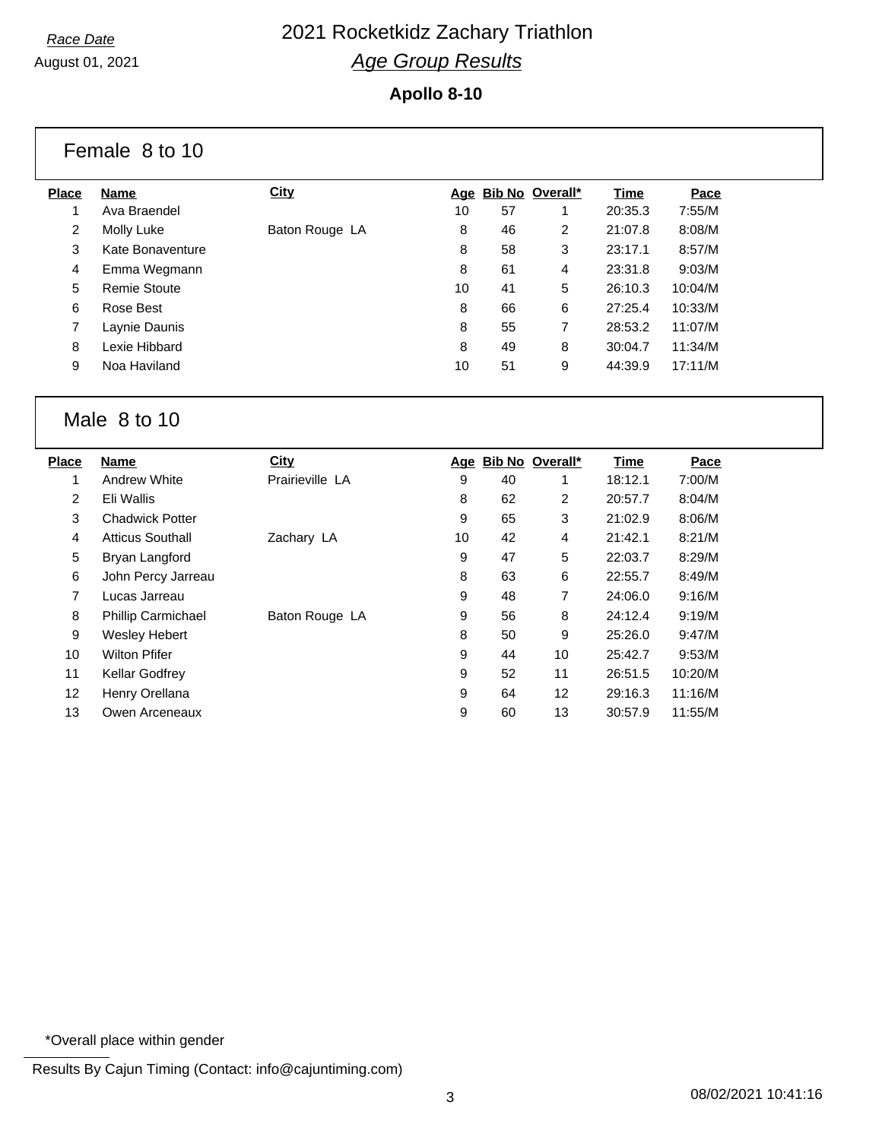August 01, 2021

#### **Apollo 8-10**

| Female 8 to 10 |                     |                |    |    |                     |         |         |  |
|----------------|---------------------|----------------|----|----|---------------------|---------|---------|--|
| <b>Place</b>   | Name                | <b>City</b>    |    |    | Age Bib No Overall* | Time    | Pace    |  |
|                | Ava Braendel        |                | 10 | 57 | 1                   | 20:35.3 | 7:55/M  |  |
| $\overline{2}$ | Molly Luke          | Baton Rouge LA | 8  | 46 | $\overline{2}$      | 21:07.8 | 8:08/M  |  |
| 3              | Kate Bonaventure    |                | 8  | 58 | 3                   | 23:17.1 | 8:57/M  |  |
| $\overline{4}$ | Emma Wegmann        |                | 8  | 61 | 4                   | 23:31.8 | 9:03/M  |  |
| 5              | <b>Remie Stoute</b> |                | 10 | 41 | 5                   | 26:10.3 | 10:04/M |  |
| 6              | Rose Best           |                | 8  | 66 | 6                   | 27:25.4 | 10:33/M |  |
| 7              | Laynie Daunis       |                | 8  | 55 | 7                   | 28:53.2 | 11:07/M |  |
| 8              | Lexie Hibbard       |                | 8  | 49 | 8                   | 30:04.7 | 11:34/M |  |
| 9              | Noa Haviland        |                | 10 | 51 | 9                   | 44:39.9 | 17:11/M |  |
|                |                     |                |    |    |                     |         |         |  |

### Male 8 to 10

| Name                      | City            |    |    |     | Time                   | Pace    |
|---------------------------|-----------------|----|----|-----|------------------------|---------|
| <b>Andrew White</b>       | Prairieville LA | 9  | 40 |     | 18:12.1                | 7:00/M  |
| Eli Wallis                |                 | 8  | 62 | 2   | 20:57.7                | 8:04/M  |
| <b>Chadwick Potter</b>    |                 | 9  | 65 | 3   | 21:02.9                | 8:06/M  |
| <b>Atticus Southall</b>   | Zachary LA      | 10 | 42 | 4   | 21:42.1                | 8:21/M  |
| Bryan Langford            |                 | 9  | 47 | 5   | 22:03.7                | 8:29/M  |
| John Percy Jarreau        |                 | 8  | 63 | 6   | 22:55.7                | 8:49/M  |
| Lucas Jarreau             |                 | 9  | 48 | 7   | 24:06.0                | 9:16/M  |
| <b>Phillip Carmichael</b> | Baton Rouge LA  | 9  | 56 | 8   | 24:12.4                | 9:19/M  |
| <b>Wesley Hebert</b>      |                 | 8  | 50 | 9   | 25:26.0                | 9:47/M  |
| <b>Wilton Pfifer</b>      |                 | 9  | 44 | 10  | 25:42.7                | 9:53/M  |
| <b>Kellar Godfrey</b>     |                 | 9  | 52 | 11  | 26:51.5                | 10:20/M |
| Henry Orellana            |                 | 9  | 64 | 12  | 29:16.3                | 11:16/M |
| Owen Arceneaux            |                 | 9  | 60 | 13  | 30:57.9                | 11:55/M |
|                           |                 |    |    | Age | <b>Bib No Overall*</b> |         |

\*Overall place within gender

Results By Cajun Timing (Contact: info@cajuntiming.com)